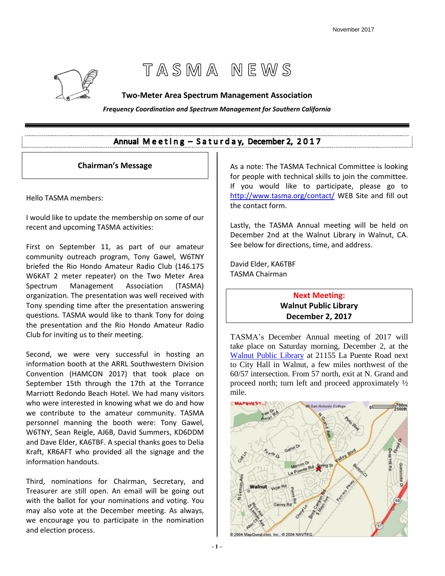# TASMA NEWS

#### **Two-Meter Area Spectrum Management Association**

*Frequency Coordination and Spectrum Management for Southern California*

# Annual Meeting - Saturday, December 2, 2017

#### **Chairman's Message**

Hello TASMA members:

I would like to update the membership on some of our recent and upcoming TASMA activities:

First on September 11, as part of our amateur community outreach program, Tony Gawel, W6TNY briefed the Rio Hondo Amateur Radio Club (146.175 W6KAT 2 meter repeater) on the Two Meter Area Spectrum Management Association (TASMA) organization. The presentation was well received with Tony spending time after the presentation answering questions. TASMA would like to thank Tony for doing the presentation and the Rio Hondo Amateur Radio Club for inviting us to their meeting.

Second, we were very successful in hosting an information booth at the ARRL Southwestern Division Convention (HAMCON 2017) that took place on September 15th through the 17th at the Torrance Marriott Redondo Beach Hotel. We had many visitors who were interested in knowing what we do and how we contribute to the amateur community. TASMA personnel manning the booth were: Tony Gawel, W6TNY, Sean Reigle, AJ6B, David Summers, KD6DDM and Dave Elder, KA6TBF. A special thanks goes to Delia Kraft, KR6AFT who provided all the signage and the information handouts.

Third, nominations for Chairman, Secretary, and Treasurer are still open. An email will be going out with the ballot for your nominations and voting. You may also vote at the December meeting. As always, we encourage you to participate in the nomination and election process.

As a note: The TASMA Technical Committee is looking for people with technical skills to join the committee. If you would like to participate, please go to <http://www.tasma.org/contact/> WEB Site and fill out the contact form.

Lastly, the TASMA Annual meeting will be held on December 2nd at the Walnut Library in Walnut, CA. See below for directions, time, and address.

David Elder, KA6TBF TASMA Chairman

# **Next Meeting: Walnut Public Library December 2, 2017**

TASMA's December Annual meeting of 2017 will take place on Saturday morning, December 2, at the [Walnut Public Library](https://www.google.com/maps/place/Walnut+Library/@34.0196129,-117.8343497,15z/data=!4m2!3m1!1s0x80c32bed83784181:0xee4655ded4e41bff) at 21155 La Puente Road next to City Hall in Walnut, a few miles northwest of the 60/57 intersection. From 57 north, exit at N. Grand and proceed north; turn left and proceed approximately ½ mile.

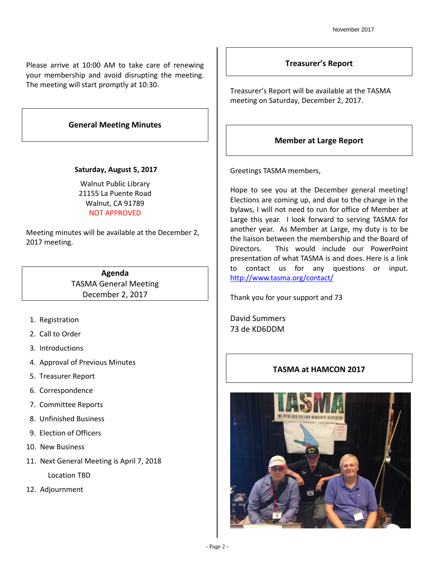Please arrive at 10:00 AM to take care of renewing your membership and avoid disrupting the meeting. The meeting will start promptly at 10:30.

## **General Meeting Minutes**

#### **Saturday, August 5, 2017**

Walnut Public Library 21155 La Puente Road Walnut, CA 91789 NOT APPROVED

Meeting minutes will be available at the December 2, 2017 meeting.

> **Agenda** TASMA General Meeting December 2, 2017

- 1. Registration
- 2. Call to Order
- 3. Introductions
- 4. Approval of Previous Minutes
- 5. Treasurer Report
- 6. Correspondence
- 7. Committee Reports
- 8. Unfinished Business
- 9. Election of Officers
- 10. New Business
- 11. Next General Meeting is April 7, 2018 Location TBD
- 12. Adjournment

#### **Treasurer's Report**

Treasurer's Report will be available at the TASMA meeting on Saturday, December 2, 2017.

# **Member at Large Report**

Greetings TASMA members,

Hope to see you at the December general meeting! Elections are coming up, and due to the change in the bylaws, I will not need to run for office of Member at Large this year. I look forward to serving TASMA for another year. As Member at Large, my duty is to be the liaison between the membership and the Board of Directors. This would include our PowerPoint presentation of what TASMA is and does. Here is a link to contact us for any questions or input. <http://www.tasma.org/contact/>

Thank you for your support and 73

David Summers 73 de KD6DDM

# **TASMA at HAMCON 2017**

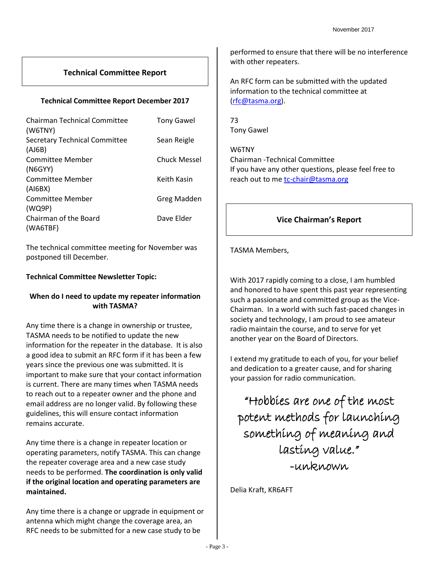# **Technical Committee Report**

#### **Technical Committee Report December 2017**

| <b>Chairman Technical Committee</b><br>(W6TNY) | <b>Tony Gawel</b> |
|------------------------------------------------|-------------------|
| <b>Secretary Technical Committee</b>           | Sean Reigle       |
| (AJ6B)                                         |                   |
| Committee Member                               | Chuck Messel      |
| (NGGYY)                                        |                   |
| Committee Member                               | Keith Kasin       |
| (AIGBX)                                        |                   |
| Committee Member                               | Greg Madden       |
| (WQ9P)                                         |                   |
| Chairman of the Board                          | Dave Elder        |
| (WA6TBF)                                       |                   |

The technical committee meeting for November was postponed till December.

#### **Technical Committee Newsletter Topic:**

# **When do I need to update my repeater information with TASMA?**

Any time there is a change in ownership or trustee, TASMA needs to be notified to update the new information for the repeater in the database. It is also a good idea to submit an RFC form if it has been a few years since the previous one was submitted. It is important to make sure that your contact information is current. There are many times when TASMA needs to reach out to a repeater owner and the phone and email address are no longer valid. By following these guidelines, this will ensure contact information remains accurate.

Any time there is a change in repeater location or operating parameters, notify TASMA. This can change the repeater coverage area and a new case study needs to be performed. **The coordination is only valid if the original location and operating parameters are maintained.** 

Any time there is a change or upgrade in equipment or antenna which might change the coverage area, an RFC needs to be submitted for a new case study to be

performed to ensure that there will be no interference with other repeaters.

An RFC form can be submitted with the updated information to the technical committee at [\(rfc@tasma.org\)](mailto:rfc@tasma.org).

73 Tony Gawel

W6TNY Chairman -Technical Committee If you have any other questions, please feel free to reach out to me [tc-chair@tasma.org](mailto:tc-chair@tasma.org)

# **Vice Chairman's Report**

#### TASMA Members,

With 2017 rapidly coming to a close, I am humbled and honored to have spent this past year representing such a passionate and committed group as the Vice-Chairman. In a world with such fast-paced changes in society and technology, I am proud to see amateur radio maintain the course, and to serve for yet another year on the Board of Directors.

I extend my gratitude to each of you, for your belief and dedication to a greater cause, and for sharing your passion for radio communication.

"Hobbies are one of the most potent methods for launching something of meaning and lasting value." -unknown

Delia Kraft, KR6AFT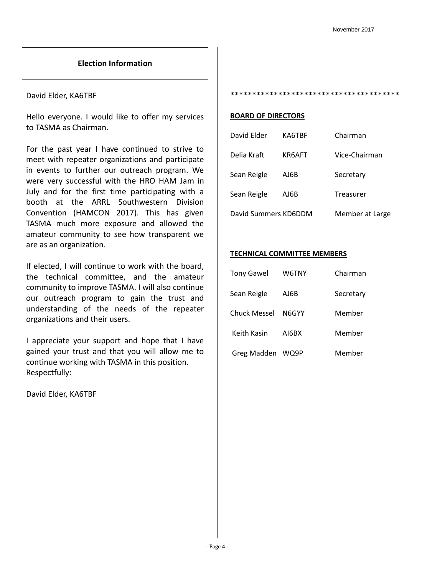#### **Election Information**

#### David Elder, KA6TBF

Hello everyone. I would like to offer my services to TASMA as Chairman.

For the past year I have continued to strive to meet with repeater organizations and participate in events to further our outreach program. We were very successful with the HRO HAM Jam in July and for the first time participating with a booth at the ARRL Southwestern Division Convention (HAMCON 2017). This has given TASMA much more exposure and allowed the amateur community to see how transparent we are as an organization.

If elected, I will continue to work with the board, the technical committee, and the amateur community to improve TASMA. I will also continue our outreach program to gain the trust and understanding of the needs of the repeater organizations and their users.

I appreciate your support and hope that I have gained your trust and that you will allow me to continue working with TASMA in this position. Respectfully:

David Elder, KA6TBF

\*\*\*\*\*\*\*\*\*\*\*\*\*\*\*\*\*\*\*\*\*\*\*\*\*\*\*\*\*\*\*\*\*\*\*\*\*\*\*

#### **BOARD OF DIRECTORS**

| David Elder          | KA6TBF | Chairman        |
|----------------------|--------|-----------------|
| Delia Kraft          | KR6AFT | Vice-Chairman   |
| Sean Reigle          | AJ6B   | Secretary       |
| Sean Reigle          | AJ6B   | Treasurer       |
| David Summers KD6DDM |        | Member at Large |

#### **TECHNICAL COMMITTEE MEMBERS**

| <b>Tony Gawel</b>   | W6TNY | Chairman  |  |  |  |
|---------------------|-------|-----------|--|--|--|
| Sean Reigle         | AJ6B  | Secretary |  |  |  |
| <b>Chuck Messel</b> | N6GYY | Member    |  |  |  |
| Keith Kasin         | AI6BX | Member    |  |  |  |
| Greg Madden WQ9P    |       | Member    |  |  |  |